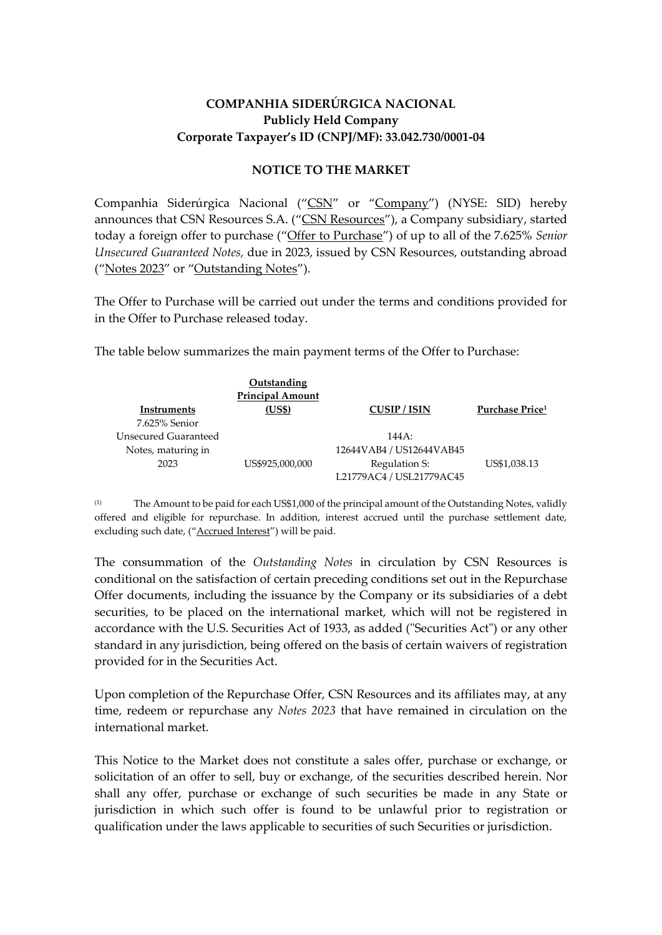## **COMPANHIA SIDERÚRGICA NACIONAL Publicly Held Company Corporate Taxpayer's ID (CNPJ/MF): 33.042.730/0001-04**

## **NOTICE TO THE MARKET**

Companhia Siderúrgica Nacional ("CSN" or "Company") (NYSE: SID) hereby announces that CSN Resources S.A. ("CSN Resources"), a Company subsidiary, started today a foreign offer to purchase ("Offer to Purchase") of up to all of the 7.625% *Senior Unsecured Guaranteed Notes,* due in 2023, issued by CSN Resources, outstanding abroad ("Notes 2023" or "Outstanding Notes").

The Offer to Purchase will be carried out under the terms and conditions provided for in the Offer to Purchase released today.

The table below summarizes the main payment terms of the Offer to Purchase:

|                      | <b>Outstanding</b>      |                          |                             |
|----------------------|-------------------------|--------------------------|-----------------------------|
|                      | <b>Principal Amount</b> |                          |                             |
| Instruments          | (US\$)                  | <b>CUSIP/ISIN</b>        | Purchase Price <sup>1</sup> |
| 7.625% Senior        |                         |                          |                             |
| Unsecured Guaranteed |                         | 144A:                    |                             |
| Notes, maturing in   |                         | 12644VAB4 / US12644VAB45 |                             |
| 2023                 | US\$925,000,000         | Regulation S:            | US\$1,038.13                |
|                      |                         | L21779AC4 / USL21779AC45 |                             |

(1) The Amount to be paid for each US\$1,000 of the principal amount of the Outstanding Notes, validly offered and eligible for repurchase. In addition, interest accrued until the purchase settlement date, excluding such date, ("Accrued Interest") will be paid.

The consummation of the *Outstanding Notes* in circulation by CSN Resources is conditional on the satisfaction of certain preceding conditions set out in the Repurchase Offer documents, including the issuance by the Company or its subsidiaries of a debt securities, to be placed on the international market, which will not be registered in accordance with the U.S. Securities Act of 1933, as added ("Securities Act") or any other standard in any jurisdiction, being offered on the basis of certain waivers of registration provided for in the Securities Act.

Upon completion of the Repurchase Offer, CSN Resources and its affiliates may, at any time, redeem or repurchase any *Notes 2023* that have remained in circulation on the international market.

This Notice to the Market does not constitute a sales offer, purchase or exchange, or solicitation of an offer to sell, buy or exchange, of the securities described herein. Nor shall any offer, purchase or exchange of such securities be made in any State or jurisdiction in which such offer is found to be unlawful prior to registration or qualification under the laws applicable to securities of such Securities or jurisdiction.